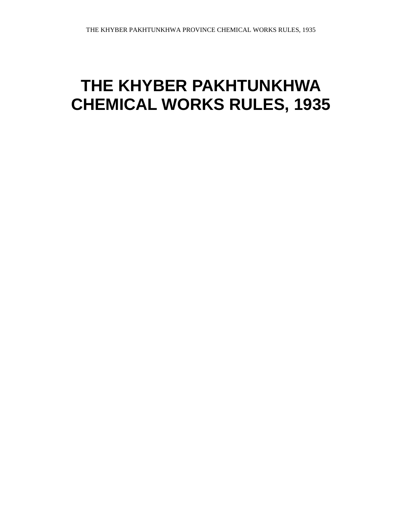# **THE KHYBER PAKHTUNKHWA CHEMICAL WORKS RULES, 1935**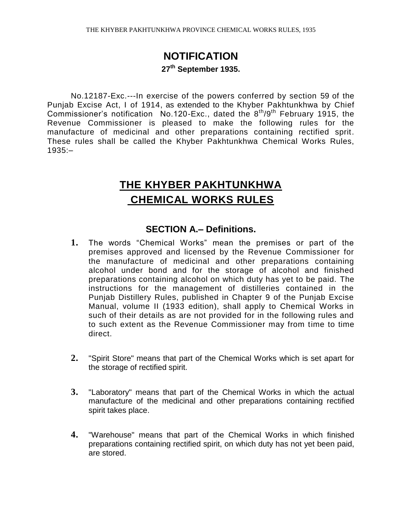# **NOTIFICATION 27th September 1935.**

No.12187-Exc.---In exercise of the powers conferred by section 59 of the Punjab Excise Act, I of 1914, as extended to the Khyber Pakhtunkhwa by Chief Commissioner's notification No.120-Exc., dated the  $8<sup>th</sup>/9<sup>th</sup>$  February 1915, the Revenue Commissioner is pleased to make the following rules for the manufacture of medicinal and other preparations containing rectified sprit. These rules shall be called the Khyber Pakhtunkhwa Chemical Works Rules, 1935:–

# **THE KHYBER PAKHTUNKHWA CHEMICAL WORKS RULES**

#### **SECTION A.– Definitions.**

- **1.** The words "Chemical Works" mean the premises or part of the premises approved and licensed by the Revenue Commissioner for the manufacture of medicinal and other preparations containing alcohol under bond and for the storage of alcohol and finished preparations containing alcohol on which duty has yet to be paid. The instructions for the management of distilleries contained in the Punjab Distillery Rules, published in Chapter 9 of the Punjab Excise Manual, volume II (1933 edition), shall apply to Chemical Works in such of their details as are not provided for in the following rules and to such extent as the Revenue Commissioner may from time to time direct.
- **2.** "Spirit Store" means that part of the Chemical Works which is set apart for the storage of rectified spirit.
- **3.** "Laboratory" means that part of the Chemical Works in which the actual manufacture of the medicinal and other preparations containing rectified spirit takes place.
- **4.** "Warehouse" means that part of the Chemical Works in which finished preparations containing rectified spirit, on which duty has not yet been paid, are stored.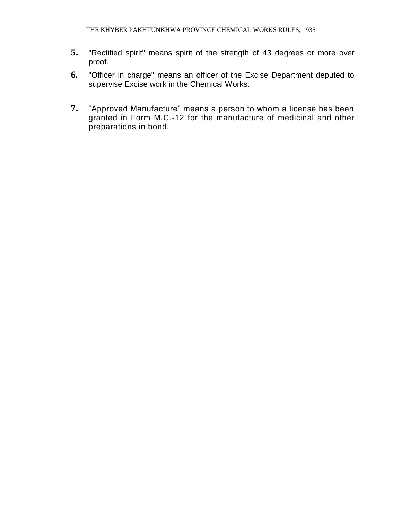- **5.** "Rectified spirit" means spirit of the strength of 43 degrees or more over proof.
- **6.** "Officer in charge" means an officer of the Excise Department deputed to supervise Excise work in the Chemical Works.
- **7.** "Approved Manufacture" means a person to whom a license has been granted in Form M.C.-12 for the manufacture of medicinal and other preparations in bond.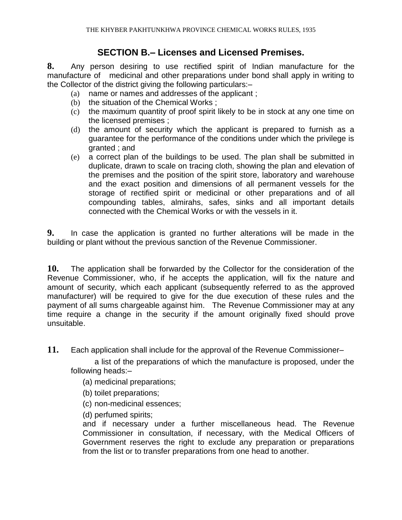#### **SECTION B.– Licenses and Licensed Premises.**

**8.** Any person desiring to use rectified spirit of Indian manufacture for the manufacture of medicinal and other preparations under bond shall apply in writing to the Collector of the district giving the following particulars:–

- (a) name or names and addresses of the applicant ;
- (b) the situation of the Chemical Works ;
- (c) the maximum quantity of proof spirit likely to be in stock at any one time on the licensed premises ;
- (d) the amount of security which the applicant is prepared to furnish as a guarantee for the performance of the conditions under which the privilege is granted ; and
- (e) a correct plan of the buildings to be used. The plan shall be submitted in duplicate, drawn to scale on tracing cloth, showing the plan and elevation of the premises and the position of the spirit store, laboratory and warehouse and the exact position and dimensions of all permanent vessels for the storage of rectified spirit or medicinal or other preparations and of all compounding tables, almirahs, safes, sinks and all important details connected with the Chemical Works or with the vessels in it.

**9.** In case the application is granted no further alterations will be made in the building or plant without the previous sanction of the Revenue Commissioner.

**10.** The application shall be forwarded by the Collector for the consideration of the Revenue Commissioner, who, if he accepts the application, will fix the nature and amount of security, which each applicant (subsequently referred to as the approved manufacturer) will be required to give for the due execution of these rules and the payment of all sums chargeable against him. The Revenue Commissioner may at any time require a change in the security if the amount originally fixed should prove unsuitable.

**11.** Each application shall include for the approval of the Revenue Commissioner–

a list of the preparations of which the manufacture is proposed, under the following heads:–

- (a) medicinal preparations;
- (b) toilet preparations;
- (c) non-medicinal essences;

(d) perfumed spirits;

and if necessary under a further miscellaneous head. The Revenue Commissioner in consultation, if necessary, with the Medical Officers of Government reserves the right to exclude any preparation or preparations from the list or to transfer preparations from one head to another.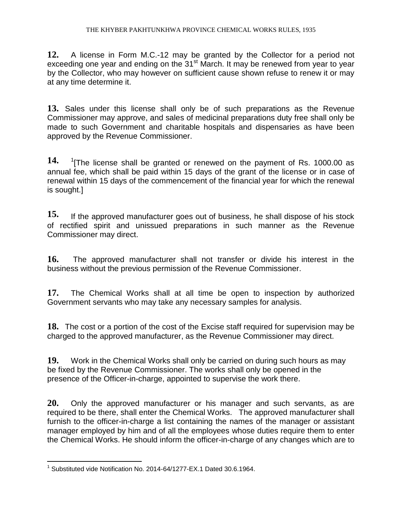**12.** A license in Form M.C.-12 may be granted by the Collector for a period not exceeding one year and ending on the  $31<sup>st</sup>$  March. It may be renewed from year to year by the Collector, who may however on sufficient cause shown refuse to renew it or may at any time determine it.

**13.** Sales under this license shall only be of such preparations as the Revenue Commissioner may approve, and sales of medicinal preparations duty free shall only be made to such Government and charitable hospitals and dispensaries as have been approved by the Revenue Commissioner.

**14.** <sup>1</sup> <sup>1</sup> (The license shall be granted or renewed on the payment of Rs. 1000.00 as annual fee, which shall be paid within 15 days of the grant of the license or in case of renewal within 15 days of the commencement of the financial year for which the renewal is sought.]

**15.** If the approved manufacturer goes out of business, he shall dispose of his stock of rectified spirit and unissued preparations in such manner as the Revenue Commissioner may direct.

**16.** The approved manufacturer shall not transfer or divide his interest in the business without the previous permission of the Revenue Commissioner.

**17.** The Chemical Works shall at all time be open to inspection by authorized Government servants who may take any necessary samples for analysis.

**18.** The cost or a portion of the cost of the Excise staff required for supervision may be charged to the approved manufacturer, as the Revenue Commissioner may direct.

**19.** Work in the Chemical Works shall only be carried on during such hours as may be fixed by the Revenue Commissioner. The works shall only be opened in the presence of the Officer-in-charge, appointed to supervise the work there.

**20.** Only the approved manufacturer or his manager and such servants, as are required to be there, shall enter the Chemical Works. The approved manufacturer shall furnish to the officer-in-charge a list containing the names of the manager or assistant manager employed by him and of all the employees whose duties require them to enter the Chemical Works. He should inform the officer-in-charge of any changes which are to

 $\overline{a}$ <sup>1</sup> Substituted vide Notification No. 2014-64/1277-EX.1 Dated 30.6.1964.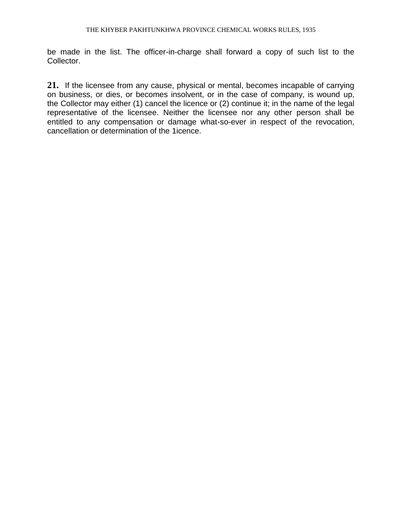be made in the list. The officer-in-charge shall forward a copy of such list to the Collector.

**21.** If the licensee from any cause, physical or mental, becomes incapable of carrying on business, or dies, or becomes insolvent, or in the case of company, is wound up, the Collector may either (1) cancel the licence or (2) continue it; in the name of the legal representative of the licensee. Neither the licensee nor any other person shall be entitled to any compensation or damage what-so-ever in respect of the revocation, cancellation or determination of the 1icence.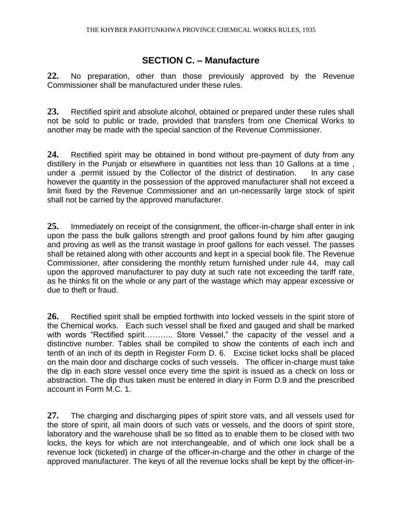#### **SECTION C. – Manufacture**

**22.** No preparation, other than those previously approved by the Revenue Commissioner shall be manufactured under these rules.

**23.** Rectified spirit and absolute alcohol, obtained or prepared under these rules shall not be sold to public or trade, provided that transfers from one Chemical Works to another may be made with the special sanction of the Revenue Commissioner.

**24.** Rectified spirit may be obtained in bond without pre-payment of duty from any distillery in the Punjab or elsewhere in quantities not less than 10 Gallons at a time , under a .permit issued by the Collector of the district of destination. In any case however the quantity in the possession of the approved manufacturer shall not exceed a limit fixed by the Revenue Commissioner and an un-necessarily large stock of spirit shall not be carried by the approved manufacturer.

**25.** Immediately on receipt of the consignment, the officer-in-charge shall enter in ink upon the pass the bulk gallons strength and proof gallons found by him after gauging and proving as well as the transit wastage in proof gallons for each vessel. The passes shall be retained along with other accounts and kept in a special book file. The Revenue Commissioner, after considering the monthly return furnished under rule 44, may call upon the approved manufacturer to pay duty at such rate not exceeding the tariff rate, as he thinks fit on the whole or any part of the wastage which may appear excessive or due to theft or fraud.

**26.** Rectified spirit shall be emptied forthwith into locked vessels in the spirit store of the Chemical works. Each such vessel shall be fixed and gauged and shall be marked with words "Rectified spirit........... Store Vessel," the capacity of the vessel and a distinctive number. Tables shall be compiled to show the contents of each inch and tenth of an inch of its depth in Register Form D. 6. Excise ticket locks shall be placed on the main door and discharge cocks of such vessels. The officer in-charge must take the dip in each store vessel once every time the spirit is issued as a check on loss or abstraction. The dip thus taken must be entered in diary in Form D.9 and the prescribed account in Form M.C. 1.

**27.** The charging and discharging pipes of spirit store vats, and all vessels used for the store of spirit, all main doors of such vats or vessels, and the doors of spirit store, laboratory and the warehouse shall be so fitted as to enable them to be closed with two locks, the keys for which are not interchangeable, and of which one lock shall be a revenue lock (ticketed) in charge of the officer-in-charge and the other in charge of the approved manufacturer. The keys of all the revenue locks shall be kept by the officer-in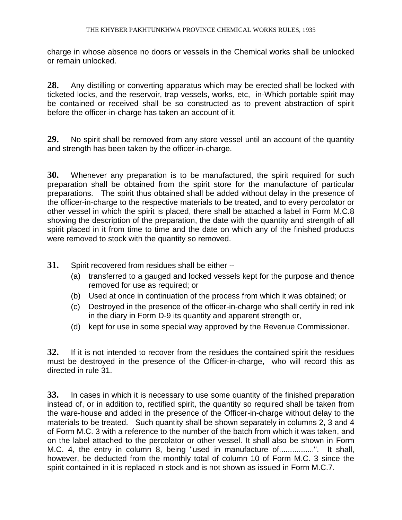charge in whose absence no doors or vessels in the Chemical works shall be unlocked or remain unlocked.

**28.** Any distilling or converting apparatus which may be erected shall be locked with ticketed locks, and the reservoir, trap vessels, works, etc, in-Which portable spirit may be contained or received shall be so constructed as to prevent abstraction of spirit before the officer-in-charge has taken an account of it.

**29.** No spirit shall be removed from any store vessel until an account of the quantity and strength has been taken by the officer-in-charge.

**30.** Whenever any preparation is to be manufactured, the spirit required for such preparation shall be obtained from the spirit store for the manufacture of particular preparations. The spirit thus obtained shall be added without delay in the presence of the officer-in-charge to the respective materials to be treated, and to every percolator or other vessel in which the spirit is placed, there shall be attached a label in Form M.C.8 showing the description of the preparation, the date with the quantity and strength of all spirit placed in it from time to time and the date on which any of the finished products were removed to stock with the quantity so removed.

- **31.** Spirit recovered from residues shall be either --
	- (a) transferred to a gauged and locked vessels kept for the purpose and thence removed for use as required; or
	- (b) Used at once in continuation of the process from which it was obtained; or
	- (c) Destroyed in the presence of the officer-in-charge who shall certify in red ink in the diary in Form D-9 its quantity and apparent strength or,
	- (d) kept for use in some special way approved by the Revenue Commissioner.

**32.** If it is not intended to recover from the residues the contained spirit the residues must be destroyed in the presence of the Officer-in-charge, who will record this as directed in rule 31.

**33.** In cases in which it is necessary to use some quantity of the finished preparation instead of, or in addition to, rectified spirit, the quantity so required shall be taken from the ware-house and added in the presence of the Officer-in-charge without delay to the materials to be treated. Such quantity shall be shown separately in columns 2, 3 and 4 of Form M.C. 3 with a reference to the number of the batch from which it was taken, and on the label attached to the percolator or other vessel. It shall also be shown in Form M.C. 4, the entry in column 8, being "used in manufacture of................". It shall, however, be deducted from the monthly total of column 10 of Form M.C. 3 since the spirit contained in it is replaced in stock and is not shown as issued in Form M.C.7.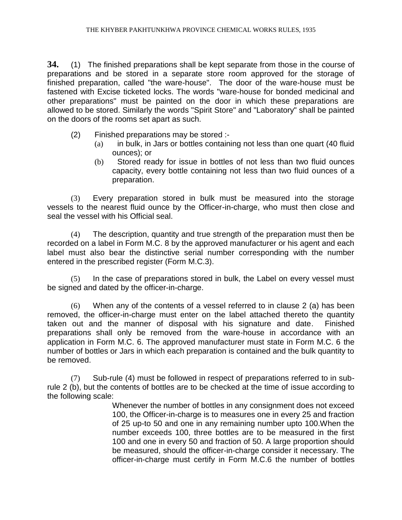**34.** (1) The finished preparations shall be kept separate from those in the course of preparations and be stored in a separate store room approved for the storage of finished preparation, called "the ware-house". The door of the ware-house must be fastened with Excise ticketed locks. The words "ware-house for bonded medicinal and other preparations" must be painted on the door in which these preparations are allowed to be stored. Similarly the words "Spirit Store" and "Laboratory" shall be painted on the doors of the rooms set apart as such.

- (2) Finished preparations may be stored :-
	- (a) in bulk, in Jars or bottles containing not less than one quart (40 fluid ounces); or
	- (b) Stored ready for issue in bottles of not less than two fluid ounces capacity, every bottle containing not less than two fluid ounces of a preparation.

(3) Every preparation stored in bulk must be measured into the storage vessels to the nearest fluid ounce by the Officer-in-charge, who must then close and seal the vessel with his Official seal.

(4) The description, quantity and true strength of the preparation must then be recorded on a label in Form M.C. 8 by the approved manufacturer or his agent and each label must also bear the distinctive serial number corresponding with the number entered in the prescribed register (Form M.C.3).

(5) In the case of preparations stored in bulk, the Label on every vessel must be signed and dated by the officer-in-charge.

(6) When any of the contents of a vessel referred to in clause 2 (a) has been removed, the officer-in-charge must enter on the label attached thereto the quantity taken out and the manner of disposal with his signature and date. Finished preparations shall only be removed from the ware-house in accordance with an application in Form M.C. 6. The approved manufacturer must state in Form M.C. 6 the number of bottles or Jars in which each preparation is contained and the bulk quantity to be removed.

(7) Sub-rule (4) must be followed in respect of preparations referred to in subrule 2 (b), but the contents of bottles are to be checked at the time of issue according to the following scale:

> Whenever the number of bottles in any consignment does not exceed 100, the Officer-in-charge is to measures one in every 25 and fraction of 25 up-to 50 and one in any remaining number upto 100.When the number exceeds 100, three bottles are to be measured in the first 100 and one in every 50 and fraction of 50. A large proportion should be measured, should the officer-in-charge consider it necessary. The officer-in-charge must certify in Form M.C.6 the number of bottles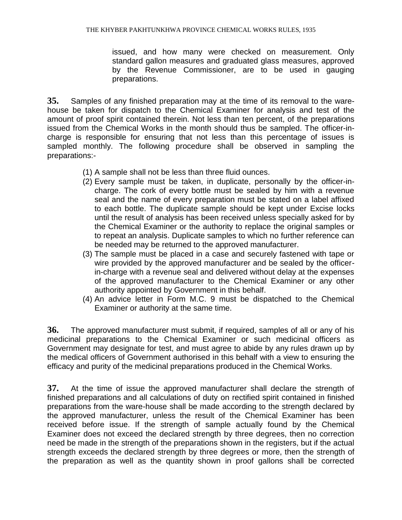issued, and how many were checked on measurement. Only standard gallon measures and graduated glass measures, approved by the Revenue Commissioner, are to be used in gauging preparations.

**35.** Samples of any finished preparation may at the time of its removal to the warehouse be taken for dispatch to the Chemical Examiner for analysis and test of the amount of proof spirit contained therein. Not less than ten percent, of the preparations issued from the Chemical Works in the month should thus be sampled. The officer-incharge is responsible for ensuring that not less than this percentage of issues is sampled monthly. The following procedure shall be observed in sampling the preparations:-

- (1) A sample shall not be less than three fluid ounces.
- (2) Every sample must be taken, in duplicate, personally by the officer-incharge. The cork of every bottle must be sealed by him with a revenue seal and the name of every preparation must be stated on a label affixed to each bottle. The duplicate sample should be kept under Excise locks until the result of analysis has been received unless specially asked for by the Chemical Examiner or the authority to replace the original samples or to repeat an analysis. Duplicate samples to which no further reference can be needed may be returned to the approved manufacturer.
- (3) The sample must be placed in a case and securely fastened with tape or wire provided by the approved manufacturer and be sealed by the officerin-charge with a revenue seal and delivered without delay at the expenses of the approved manufacturer to the Chemical Examiner or any other authority appointed by Government in this behalf.
- (4) An advice letter in Form M.C. 9 must be dispatched to the Chemical Examiner or authority at the same time.

**36.** The approved manufacturer must submit, if required, samples of all or any of his medicinal preparations to the Chemical Examiner or such medicinal officers as Government may designate for test, and must agree to abide by any rules drawn up by the medical officers of Government authorised in this behalf with a view to ensuring the efficacy and purity of the medicinal preparations produced in the Chemical Works.

**37.** At the time of issue the approved manufacturer shall declare the strength of finished preparations and all calculations of duty on rectified spirit contained in finished preparations from the ware-house shall be made according to the strength declared by the approved manufacturer, unless the result of the Chemical Examiner has been received before issue. If the strength of sample actually found by the Chemical Examiner does not exceed the declared strength by three degrees, then no correction need be made in the strength of the preparations shown in the registers, but if the actual strength exceeds the declared strength by three degrees or more, then the strength of the preparation as well as the quantity shown in proof gallons shall be corrected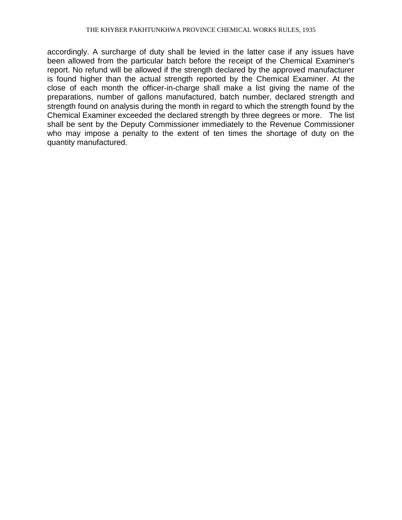accordingly. A surcharge of duty shall be levied in the latter case if any issues have been allowed from the particular batch before the receipt of the Chemical Examiner's report. No refund will be allowed if the strength declared by the approved manufacturer is found higher than the actual strength reported by the Chemical Examiner. At the close of each month the officer-in-charge shall make a list giving the name of the preparations, number of gallons manufactured, batch number, declared strength and strength found on analysis during the month in regard to which the strength found by the Chemical Examiner exceeded the declared strength by three degrees or more. The list shall be sent by the Deputy Commissioner immediately to the Revenue Commissioner who may impose a penalty to the extent of ten times the shortage of duty on the quantity manufactured.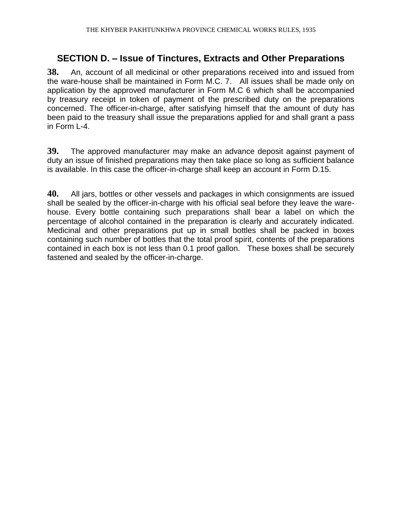### **SECTION D. – Issue of Tinctures, Extracts and Other Preparations**

**38.** An, account of all medicinal or other preparations received into and issued from the ware-house shall be maintained in Form M.C. 7. All issues shall be made only on application by the approved manufacturer in Form M.C 6 which shall be accompanied by treasury receipt in token of payment of the prescribed duty on the preparations concerned. The officer-in-charge, after satisfying himself that the amount of duty has been paid to the treasury shall issue the preparations applied for and shall grant a pass in Form L-4.

**39.** The approved manufacturer may make an advance deposit against payment of duty an issue of finished preparations may then take place so long as sufficient balance is available. In this case the officer-in-charge shall keep an account in Form D.15.

**40.** All jars, bottles or other vessels and packages in which consignments are issued shall be sealed by the officer-in-charge with his official seal before they leave the warehouse. Every bottle containing such preparations shall bear a label on which the percentage of alcohol contained in the preparation is clearly and accurately indicated. Medicinal and other preparations put up in small bottles shall be packed in boxes containing such number of bottles that the total proof spirit, contents of the preparations contained in each box is not less than 0.1 proof gallon. These boxes shall be securely fastened and sealed by the officer-in-charge.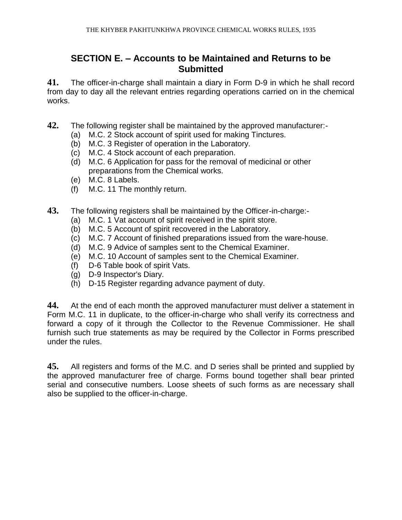#### **SECTION E. – Accounts to be Maintained and Returns to be Submitted**

**41.** The officer-in-charge shall maintain a diary in Form D-9 in which he shall record from day to day all the relevant entries regarding operations carried on in the chemical works.

- **42.** The following register shall be maintained by the approved manufacturer:-
	- (a) M.C. 2 Stock account of spirit used for making Tinctures.
	- (b) M.C. 3 Register of operation in the Laboratory.
	- (c) M.C. 4 Stock account of each preparation.
	- (d) M.C. 6 Application for pass for the removal of medicinal or other preparations from the Chemical works.
	- (e) M.C. 8 Labels.
	- (f) M.C. 11 The monthly return.
- **43.** The following registers shall be maintained by the Officer-in-charge:-
	- (a) M.C. 1 Vat account of spirit received in the spirit store.
	- (b) M.C. 5 Account of spirit recovered in the Laboratory.
	- (c) M.C. 7 Account of finished preparations issued from the ware-house.
	- (d) M.C. 9 Advice of samples sent to the Chemical Examiner.
	- (e) M.C. 10 Account of samples sent to the Chemical Examiner.
	- (f) D-6 Table book of spirit Vats.
	- (g) D-9 Inspector's Diary.
	- (h) D-15 Register regarding advance payment of duty.

**44.** At the end of each month the approved manufacturer must deliver a statement in Form M.C. 11 in duplicate, to the officer-in-charge who shall verify its correctness and forward a copy of it through the Collector to the Revenue Commissioner. He shall furnish such true statements as may be required by the Collector in Forms prescribed under the rules.

**45.** All registers and forms of the M.C. and D series shall be printed and supplied by the approved manufacturer free of charge. Forms bound together shall bear printed serial and consecutive numbers. Loose sheets of such forms as are necessary shall also be supplied to the officer-in-charge.